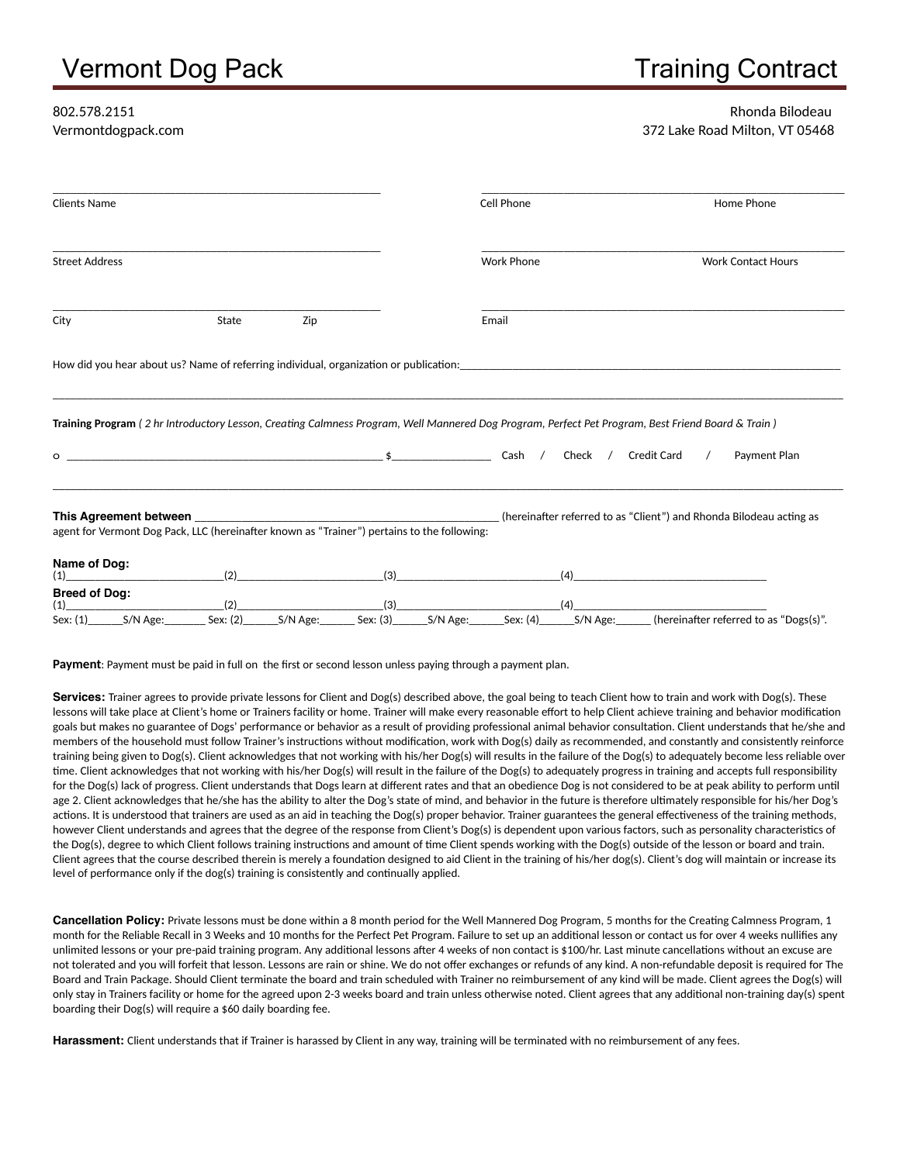# Vermont Dog Pack Training Contract

### Rhonda Bilodeau Vermontdogpack.com 372 Lake Road Milton, VT 05468

| <b>Clients Name</b>                                                                                                                                                                                                            |                                                                                  |          |          |          | Cell Phone        |          |                     |            | Home Phone                                                          |
|--------------------------------------------------------------------------------------------------------------------------------------------------------------------------------------------------------------------------------|----------------------------------------------------------------------------------|----------|----------|----------|-------------------|----------|---------------------|------------|---------------------------------------------------------------------|
| <b>Street Address</b>                                                                                                                                                                                                          |                                                                                  |          |          |          | <b>Work Phone</b> |          |                     |            | <b>Work Contact Hours</b>                                           |
| City                                                                                                                                                                                                                           | State                                                                            | Zip      |          |          | Email             |          |                     |            |                                                                     |
| How did you hear about us? Name of referring individual, organization or publication: Name of the state of the state of the state of the state of the state of the state of the state of the state of the state of the state o |                                                                                  |          |          |          |                   |          |                     |            |                                                                     |
|                                                                                                                                                                                                                                |                                                                                  |          |          |          |                   |          |                     |            |                                                                     |
| Training Program (2 hr Introductory Lesson, Creating Calmness Program, Well Mannered Dog Program, Perfect Pet Program, Best Friend Board & Train)                                                                              |                                                                                  |          |          |          |                   |          |                     |            |                                                                     |
| $\circ$                                                                                                                                                                                                                        |                                                                                  |          |          |          | Cash /            |          | Check / Credit Card | $\sqrt{2}$ | Payment Plan                                                        |
| This Agreement between                                                                                                                                                                                                         | ,我们也不能在这里,我们也不能在这里的时候,我们也不能会在这里,我们也不能会在这里,我们也不能会在这里的时候,我们也不能会在这里,我们也不能会不能会不能会不能会 |          |          |          |                   |          |                     |            | (hereinafter referred to as "Client") and Rhonda Bilodeau acting as |
| agent for Vermont Dog Pack, LLC (hereinafter known as "Trainer") pertains to the following:                                                                                                                                    |                                                                                  |          |          |          |                   |          |                     |            |                                                                     |
| Name of Dog:<br>(1)                                                                                                                                                                                                            | (2)                                                                              |          | (3)      |          |                   | (4)      |                     |            |                                                                     |
| <b>Breed of Dog:</b><br>(1)                                                                                                                                                                                                    | (2)                                                                              |          | (3)      |          |                   | (4)      |                     |            |                                                                     |
| Sex: (1)<br>S/N Age:                                                                                                                                                                                                           | Sex: (2)                                                                         | S/N Age: | Sex: (3) | S/N Age: | Sex: $(4)$        | S/N Age: |                     |            | (hereinafter referred to as "Dogs(s)".                              |

**Payment**: Payment must be paid in full on the first or second lesson unless paying through a payment plan.

Services: Trainer agrees to provide private lessons for Client and Dog(s) described above, the goal being to teach Client how to train and work with Dog(s). These lessons will take place at Client's home or Trainers facility or home. Trainer will make every reasonable effort to help Client achieve training and behavior modification goals but makes no guarantee of Dogs' performance or behavior as a result of providing professional animal behavior consultation. Client understands that he/she and members of the household must follow Trainer's instructions without modification, work with Dog(s) daily as recommended, and constantly and consistently reinforce training being given to Dog(s). Client acknowledges that not working with his/her Dog(s) will results in the failure of the Dog(s) to adequately become less reliable over time. Client acknowledges that not working with his/her Dog(s) will result in the failure of the Dog(s) to adequately progress in training and accepts full responsibility for the Dog(s) lack of progress. Client understands that Dogs learn at different rates and that an obedience Dog is not considered to be at peak ability to perform until age 2. Client acknowledges that he/she has the ability to alter the Dog's state of mind, and behavior in the future is therefore ultimately responsible for his/her Dog's actions. It is understood that trainers are used as an aid in teaching the Dog(s) proper behavior. Trainer guarantees the general effectiveness of the training methods, however Client understands and agrees that the degree of the response from Client's Dog(s) is dependent upon various factors, such as personality characteristics of the Dog(s), degree to which Client follows training instructions and amount of time Client spends working with the Dog(s) outside of the lesson or board and train. Client agrees that the course described therein is merely a foundation designed to aid Client in the training of his/her dog(s). Client's dog will maintain or increase its level of performance only if the dog(s) training is consistently and continually applied.

**Cancellation Policy:** Private lessons must be done within a 8 month period for the Well Mannered Dog Program, 5 months for the Creating Calmness Program, 1 month for the Reliable Recall in 3 Weeks and 10 months for the Perfect Pet Program. Failure to set up an additional lesson or contact us for over 4 weeks nullifies any unlimited lessons or your pre-paid training program. Any additional lessons after 4 weeks of non contact is \$100/hr. Last minute cancellations without an excuse are not tolerated and you will forfeit that lesson. Lessons are rain or shine. We do not offer exchanges or refunds of any kind. A non-refundable deposit is required for The Board and Train Package. Should Client terminate the board and train scheduled with Trainer no reimbursement of any kind will be made. Client agrees the Dog(s) will only stay in Trainers facility or home for the agreed upon 2-3 weeks board and train unless otherwise noted. Client agrees that any additional non-training day(s) spent boarding their Dog(s) will require a \$60 daily boarding fee.

**Harassment:** Client understands that if Trainer is harassed by Client in any way, training will be terminated with no reimbursement of any fees.